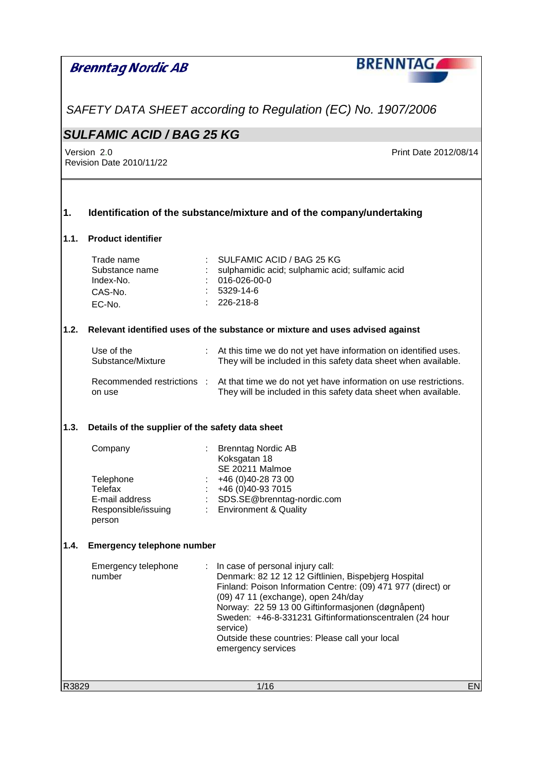|       | Brenntag Nordic AB                                                                 | <b>BRENNTAGA</b>                                                                                                                                                                                                                                                                                                                                                                                           |
|-------|------------------------------------------------------------------------------------|------------------------------------------------------------------------------------------------------------------------------------------------------------------------------------------------------------------------------------------------------------------------------------------------------------------------------------------------------------------------------------------------------------|
|       |                                                                                    |                                                                                                                                                                                                                                                                                                                                                                                                            |
|       |                                                                                    | SAFETY DATA SHEET according to Regulation (EC) No. 1907/2006                                                                                                                                                                                                                                                                                                                                               |
|       | <b>SULFAMIC ACID / BAG 25 KG</b>                                                   |                                                                                                                                                                                                                                                                                                                                                                                                            |
|       | Version 2.0<br>Revision Date 2010/11/22                                            | Print Date 2012/08/14                                                                                                                                                                                                                                                                                                                                                                                      |
| 1.    |                                                                                    | Identification of the substance/mixture and of the company/undertaking                                                                                                                                                                                                                                                                                                                                     |
| 1.1.  | <b>Product identifier</b>                                                          |                                                                                                                                                                                                                                                                                                                                                                                                            |
|       | Trade name<br>Substance name<br>Index-No.<br>CAS-No.<br>EC-No.                     | SULFAMIC ACID / BAG 25 KG<br>sulphamidic acid; sulphamic acid; sulfamic acid<br>016-026-00-0<br>5329-14-6<br>226-218-8                                                                                                                                                                                                                                                                                     |
| 1.2.  |                                                                                    | Relevant identified uses of the substance or mixture and uses advised against                                                                                                                                                                                                                                                                                                                              |
|       | Use of the<br>Substance/Mixture                                                    | At this time we do not yet have information on identified uses.<br>They will be included in this safety data sheet when available.                                                                                                                                                                                                                                                                         |
|       | Recommended restrictions :<br>on use                                               | At that time we do not yet have information on use restrictions.<br>They will be included in this safety data sheet when available.                                                                                                                                                                                                                                                                        |
| 1.3.  | Details of the supplier of the safety data sheet                                   |                                                                                                                                                                                                                                                                                                                                                                                                            |
|       | Company<br>Telephone<br>Telefax<br>E-mail address<br>Responsible/issuing<br>person | <b>Brenntag Nordic AB</b><br>Koksgatan 18<br><b>SE 20211 Malmoe</b><br>+46 (0)40-28 73 00<br>+46 (0)40-93 7015<br>SDS.SE@brenntag-nordic.com<br><b>Environment &amp; Quality</b>                                                                                                                                                                                                                           |
| 1.4.  | <b>Emergency telephone number</b>                                                  |                                                                                                                                                                                                                                                                                                                                                                                                            |
|       | Emergency telephone<br>number                                                      | In case of personal injury call:<br>÷.<br>Denmark: 82 12 12 12 Giftlinien, Bispebjerg Hospital<br>Finland: Poison Information Centre: (09) 471 977 (direct) or<br>(09) 47 11 (exchange), open 24h/day<br>Norway: 22 59 13 00 Giftinformasjonen (døgnåpent)<br>Sweden: +46-8-331231 Giftinformationscentralen (24 hour<br>service)<br>Outside these countries: Please call your local<br>emergency services |
| R3829 |                                                                                    | 1/16<br><b>EN</b>                                                                                                                                                                                                                                                                                                                                                                                          |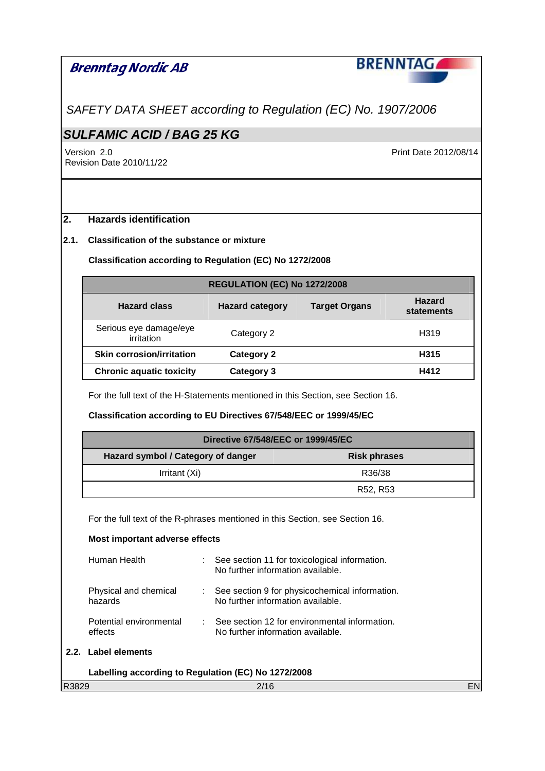

SAFETY DATA SHEET according to Regulation (EC) No. 1907/2006

# **SULFAMIC ACID / BAG 25 KG**

Version 2.0 Print Date 2012/08/14 Revision Date 2010/11/22

## **2. Hazards identification**

### **2.1. Classification of the substance or mixture**

## **Classification according to Regulation (EC) No 1272/2008**

|                                      | <b>REGULATION (EC) No 1272/2008</b> |                      |                             |  |
|--------------------------------------|-------------------------------------|----------------------|-----------------------------|--|
| <b>Hazard class</b>                  | <b>Hazard category</b>              | <b>Target Organs</b> | <b>Hazard</b><br>statements |  |
| Serious eye damage/eye<br>irritation | Category 2                          |                      | H319                        |  |
| <b>Skin corrosion/irritation</b>     | Category 2                          |                      | H315                        |  |
| <b>Chronic aquatic toxicity</b>      | Category 3                          |                      | H412                        |  |

For the full text of the H-Statements mentioned in this Section, see Section 16.

## **Classification according to EU Directives 67/548/EEC or 1999/45/EC**

| Directive 67/548/EEC or 1999/45/EC |                     |  |
|------------------------------------|---------------------|--|
| Hazard symbol / Category of danger | <b>Risk phrases</b> |  |
| Irritant (Xi)                      | R36/38              |  |
|                                    | R52, R53            |  |

For the full text of the R-phrases mentioned in this Section, see Section 16.

#### **Most important adverse effects**  Human Health : See section 11 for toxicological information. No further information available. Physical and chemical hazards : See section 9 for physicochemical information. No further information available.

| Potential environmental | $\therefore$ See section 12 for environmental information. |
|-------------------------|------------------------------------------------------------|
| effects                 | No further information available.                          |

#### **2.2. Label elements**

|       | Labelling according to Regulation (EC) No 1272/2008 |     |
|-------|-----------------------------------------------------|-----|
| R3829 | 2/16                                                | ENl |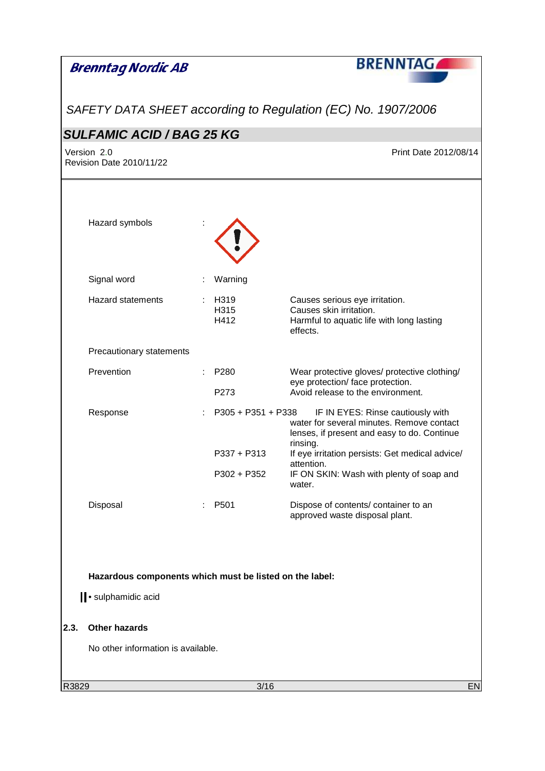|       | <b>Brenntag Nordic AB</b>                                                       |   |                                                      | <b>BRENNTAG</b>                                                                                                                                                                                                                                                  |
|-------|---------------------------------------------------------------------------------|---|------------------------------------------------------|------------------------------------------------------------------------------------------------------------------------------------------------------------------------------------------------------------------------------------------------------------------|
|       |                                                                                 |   |                                                      | SAFETY DATA SHEET according to Regulation (EC) No. 1907/2006                                                                                                                                                                                                     |
|       | <b>SULFAMIC ACID / BAG 25 KG</b>                                                |   |                                                      |                                                                                                                                                                                                                                                                  |
|       | Version 2.0<br>Revision Date 2010/11/22                                         |   |                                                      | Print Date 2012/08/14                                                                                                                                                                                                                                            |
|       | Hazard symbols                                                                  |   |                                                      |                                                                                                                                                                                                                                                                  |
|       | Signal word                                                                     |   | Warning                                              |                                                                                                                                                                                                                                                                  |
|       | <b>Hazard statements</b>                                                        |   | H319<br>H315<br>H412                                 | Causes serious eye irritation.<br>Causes skin irritation.<br>Harmful to aquatic life with long lasting<br>effects.                                                                                                                                               |
|       | Precautionary statements                                                        |   |                                                      |                                                                                                                                                                                                                                                                  |
|       | Prevention                                                                      |   | P <sub>280</sub><br>P273                             | Wear protective gloves/ protective clothing/<br>eye protection/ face protection.<br>Avoid release to the environment.                                                                                                                                            |
|       | Response                                                                        |   | $P305 + P351 + P338$<br>$P337 + P313$<br>P302 + P352 | IF IN EYES: Rinse cautiously with<br>water for several minutes. Remove contact<br>lenses, if present and easy to do. Continue<br>rinsing.<br>If eye irritation persists: Get medical advice/<br>attention.<br>IF ON SKIN: Wash with plenty of soap and<br>water. |
|       | Disposal                                                                        | ÷ | P <sub>501</sub>                                     | Dispose of contents/ container to an<br>approved waste disposal plant.                                                                                                                                                                                           |
|       | Hazardous components which must be listed on the label:<br>I · sulphamidic acid |   |                                                      |                                                                                                                                                                                                                                                                  |
| 2.3.  | <b>Other hazards</b>                                                            |   |                                                      |                                                                                                                                                                                                                                                                  |
|       | No other information is available.                                              |   |                                                      |                                                                                                                                                                                                                                                                  |
| R3829 |                                                                                 |   | 3/16                                                 | <b>EN</b>                                                                                                                                                                                                                                                        |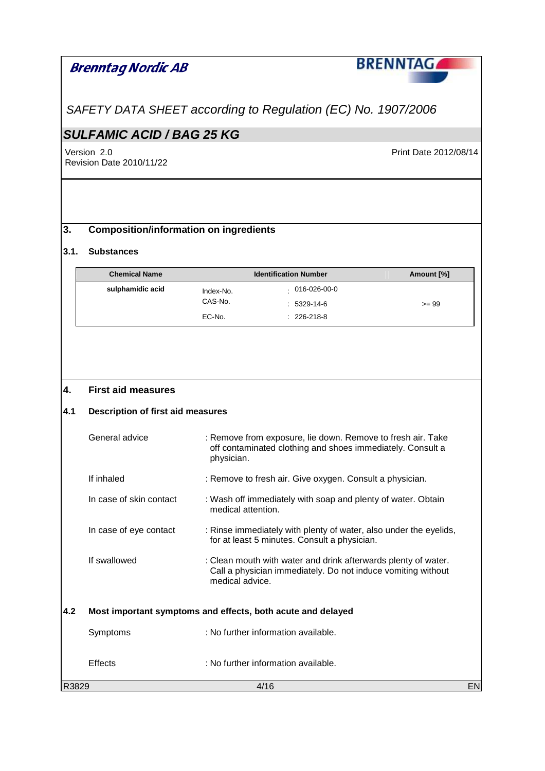SAFETY DATA SHEET according to Regulation (EC) No. 1907/2006

# **SULFAMIC ACID / BAG 25 KG**

Version 2.0 Print Date 2012/08/14 Revision Date 2010/11/22

## **3. Composition/information on ingredients**

#### **3.1. Substances**

| <b>Chemical Name</b> |           | <b>Identification Number</b> | Amount [%] |
|----------------------|-----------|------------------------------|------------|
| sulphamidic acid     | Index-No. | 016-026-00-0                 |            |
|                      | CAS-No.   | $: 5329-14-6$                | $>= 99$    |
|                      | EC-No.    | $: 226-218-8$                |            |

## **4. First aid measures**

## **4.1 Description of first aid measures**

|       | General advice          | : Remove from exposure, lie down. Remove to fresh air. Take<br>off contaminated clothing and shoes immediately. Consult a<br>physician.           |    |
|-------|-------------------------|---------------------------------------------------------------------------------------------------------------------------------------------------|----|
|       | If inhaled              | : Remove to fresh air. Give oxygen. Consult a physician.                                                                                          |    |
|       | In case of skin contact | : Wash off immediately with soap and plenty of water. Obtain<br>medical attention.                                                                |    |
|       | In case of eye contact  | : Rinse immediately with plenty of water, also under the eyelids,<br>for at least 5 minutes. Consult a physician.                                 |    |
|       | If swallowed            | : Clean mouth with water and drink afterwards plenty of water.<br>Call a physician immediately. Do not induce vomiting without<br>medical advice. |    |
| 4.2   |                         | Most important symptoms and effects, both acute and delayed                                                                                       |    |
|       | Symptoms                | : No further information available.                                                                                                               |    |
|       | Effects                 | : No further information available.                                                                                                               |    |
| R3829 |                         | 4/16                                                                                                                                              | EN |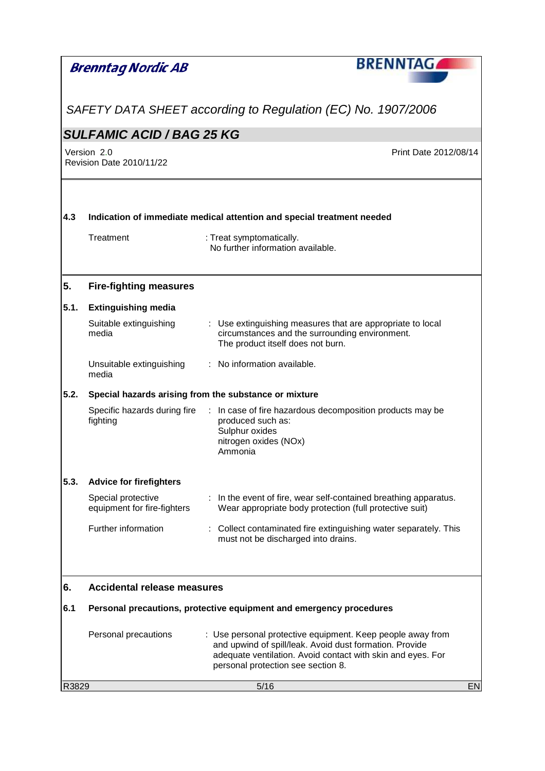|       | Brenntag Nordic AB                                | <b>BRENNTAGA</b>                                                                                                                                                                                                           |
|-------|---------------------------------------------------|----------------------------------------------------------------------------------------------------------------------------------------------------------------------------------------------------------------------------|
|       |                                                   |                                                                                                                                                                                                                            |
|       |                                                   | SAFETY DATA SHEET according to Regulation (EC) No. 1907/2006                                                                                                                                                               |
|       | <b>SULFAMIC ACID / BAG 25 KG</b>                  |                                                                                                                                                                                                                            |
|       | Version 2.0<br>Revision Date 2010/11/22           | Print Date 2012/08/14                                                                                                                                                                                                      |
| 4.3   |                                                   | Indication of immediate medical attention and special treatment needed                                                                                                                                                     |
|       | Treatment                                         | : Treat symptomatically.<br>No further information available.                                                                                                                                                              |
| 5.    | <b>Fire-fighting measures</b>                     |                                                                                                                                                                                                                            |
| 5.1.  | <b>Extinguishing media</b>                        |                                                                                                                                                                                                                            |
|       | Suitable extinguishing<br>media                   | : Use extinguishing measures that are appropriate to local<br>circumstances and the surrounding environment.<br>The product itself does not burn.                                                                          |
|       | Unsuitable extinguishing<br>media                 | : No information available.                                                                                                                                                                                                |
| 5.2.  |                                                   | Special hazards arising from the substance or mixture                                                                                                                                                                      |
|       | Specific hazards during fire<br>fighting          | : In case of fire hazardous decomposition products may be<br>produced such as:<br>Sulphur oxides<br>nitrogen oxides (NOx)<br>Ammonia                                                                                       |
| 5.3.  | <b>Advice for firefighters</b>                    |                                                                                                                                                                                                                            |
|       | Special protective<br>equipment for fire-fighters | In the event of fire, wear self-contained breathing apparatus.<br>Wear appropriate body protection (full protective suit)                                                                                                  |
|       | Further information                               | Collect contaminated fire extinguishing water separately. This<br>must not be discharged into drains.                                                                                                                      |
| 6.    | <b>Accidental release measures</b>                |                                                                                                                                                                                                                            |
| 6.1   |                                                   | Personal precautions, protective equipment and emergency procedures                                                                                                                                                        |
|       | Personal precautions                              | : Use personal protective equipment. Keep people away from<br>and upwind of spill/leak. Avoid dust formation. Provide<br>adequate ventilation. Avoid contact with skin and eyes. For<br>personal protection see section 8. |
| R3829 |                                                   | 5/16<br>EN                                                                                                                                                                                                                 |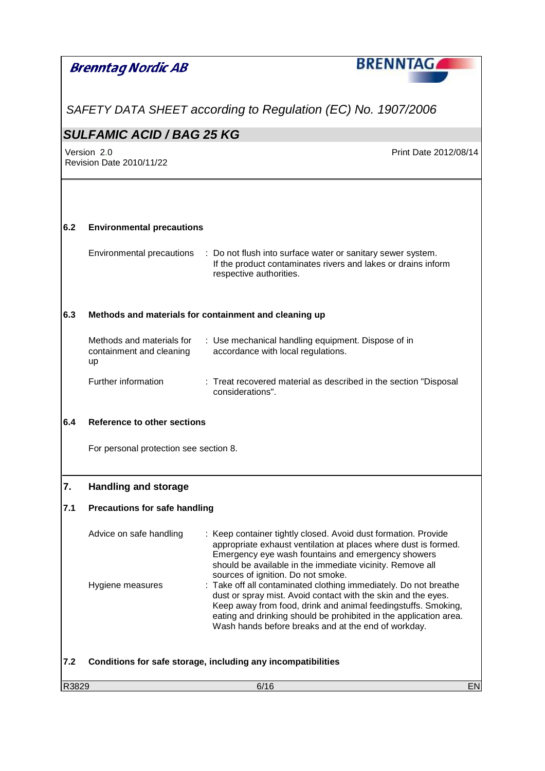|       | Brenntag Nordic AB                                          | <b>BRENNTAG</b>                                                                                                                                                                                                                                                                                                                |    |
|-------|-------------------------------------------------------------|--------------------------------------------------------------------------------------------------------------------------------------------------------------------------------------------------------------------------------------------------------------------------------------------------------------------------------|----|
|       |                                                             | SAFETY DATA SHEET according to Regulation (EC) No. 1907/2006                                                                                                                                                                                                                                                                   |    |
|       | <b>SULFAMIC ACID / BAG 25 KG</b>                            |                                                                                                                                                                                                                                                                                                                                |    |
|       | Version 2.0<br>Revision Date 2010/11/22                     | Print Date 2012/08/14                                                                                                                                                                                                                                                                                                          |    |
| 6.2   | <b>Environmental precautions</b>                            |                                                                                                                                                                                                                                                                                                                                |    |
|       | Environmental precautions                                   | : Do not flush into surface water or sanitary sewer system.<br>If the product contaminates rivers and lakes or drains inform<br>respective authorities.                                                                                                                                                                        |    |
| 6.3   |                                                             | Methods and materials for containment and cleaning up                                                                                                                                                                                                                                                                          |    |
|       | Methods and materials for<br>containment and cleaning<br>up | : Use mechanical handling equipment. Dispose of in<br>accordance with local regulations.                                                                                                                                                                                                                                       |    |
|       | Further information                                         | : Treat recovered material as described in the section "Disposal<br>considerations".                                                                                                                                                                                                                                           |    |
| 6.4   | Reference to other sections                                 |                                                                                                                                                                                                                                                                                                                                |    |
|       | For personal protection see section 8.                      |                                                                                                                                                                                                                                                                                                                                |    |
| 7.    | <b>Handling and storage</b>                                 |                                                                                                                                                                                                                                                                                                                                |    |
| 7.1   | <b>Precautions for safe handling</b>                        |                                                                                                                                                                                                                                                                                                                                |    |
|       | Advice on safe handling                                     | Keep container tightly closed. Avoid dust formation. Provide<br>appropriate exhaust ventilation at places where dust is formed.<br>Emergency eye wash fountains and emergency showers<br>should be available in the immediate vicinity. Remove all<br>sources of ignition. Do not smoke.                                       |    |
|       | Hygiene measures                                            | : Take off all contaminated clothing immediately. Do not breathe<br>dust or spray mist. Avoid contact with the skin and the eyes.<br>Keep away from food, drink and animal feedingstuffs. Smoking,<br>eating and drinking should be prohibited in the application area.<br>Wash hands before breaks and at the end of workday. |    |
| 7.2   |                                                             | Conditions for safe storage, including any incompatibilities                                                                                                                                                                                                                                                                   |    |
| R3829 |                                                             | 6/16                                                                                                                                                                                                                                                                                                                           | EN |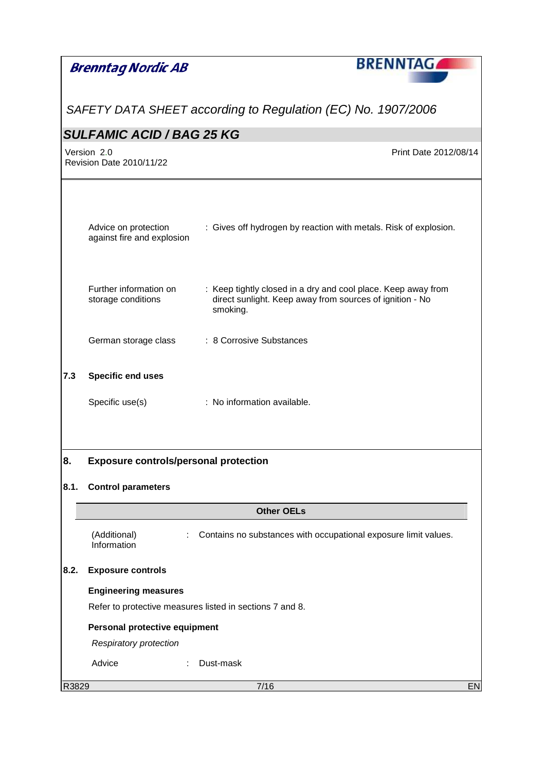|       | <b>Brenntag Nordic AB</b>                          | <b>BRENNTAG</b>                                                                                                                       |           |
|-------|----------------------------------------------------|---------------------------------------------------------------------------------------------------------------------------------------|-----------|
|       |                                                    |                                                                                                                                       |           |
|       |                                                    | SAFETY DATA SHEET according to Regulation (EC) No. 1907/2006                                                                          |           |
|       | <b>SULFAMIC ACID / BAG 25 KG</b>                   |                                                                                                                                       |           |
|       | Version 2.0<br><b>Revision Date 2010/11/22</b>     | Print Date 2012/08/14                                                                                                                 |           |
|       |                                                    |                                                                                                                                       |           |
|       |                                                    |                                                                                                                                       |           |
|       | Advice on protection<br>against fire and explosion | : Gives off hydrogen by reaction with metals. Risk of explosion.                                                                      |           |
|       | Further information on<br>storage conditions       | : Keep tightly closed in a dry and cool place. Keep away from<br>direct sunlight. Keep away from sources of ignition - No<br>smoking. |           |
|       | German storage class                               | : 8 Corrosive Substances                                                                                                              |           |
| 7.3   | Specific end uses                                  |                                                                                                                                       |           |
|       | Specific use(s)                                    | : No information available.                                                                                                           |           |
|       |                                                    |                                                                                                                                       |           |
| 8.    | <b>Exposure controls/personal protection</b>       |                                                                                                                                       |           |
| 8.1.  | <b>Control parameters</b>                          |                                                                                                                                       |           |
|       |                                                    | <b>Other OELs</b>                                                                                                                     |           |
|       | (Additional)<br>Information                        | Contains no substances with occupational exposure limit values.                                                                       |           |
| 8.2.  | <b>Exposure controls</b>                           |                                                                                                                                       |           |
|       | <b>Engineering measures</b>                        |                                                                                                                                       |           |
|       |                                                    | Refer to protective measures listed in sections 7 and 8.                                                                              |           |
|       | Personal protective equipment                      |                                                                                                                                       |           |
|       | <b>Respiratory protection</b>                      |                                                                                                                                       |           |
|       | Advice                                             | Dust-mask                                                                                                                             |           |
| R3829 |                                                    | 7/16                                                                                                                                  | <b>EN</b> |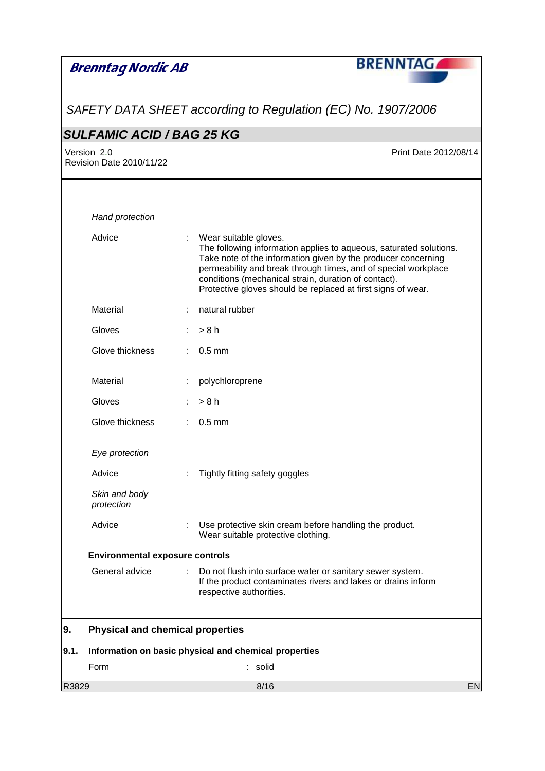|       | <b>Brenntag Nordic AB</b>               |    | <b>BRENNTAG</b>                                                                                                                                                                                                                                                                                                                                        |
|-------|-----------------------------------------|----|--------------------------------------------------------------------------------------------------------------------------------------------------------------------------------------------------------------------------------------------------------------------------------------------------------------------------------------------------------|
|       |                                         |    | SAFETY DATA SHEET according to Regulation (EC) No. 1907/2006                                                                                                                                                                                                                                                                                           |
|       | <b>SULFAMIC ACID / BAG 25 KG</b>        |    |                                                                                                                                                                                                                                                                                                                                                        |
|       | Version 2.0<br>Revision Date 2010/11/22 |    | Print Date 2012/08/14                                                                                                                                                                                                                                                                                                                                  |
|       | Hand protection                         |    |                                                                                                                                                                                                                                                                                                                                                        |
|       | Advice                                  |    | Wear suitable gloves.<br>The following information applies to aqueous, saturated solutions.<br>Take note of the information given by the producer concerning<br>permeability and break through times, and of special workplace<br>conditions (mechanical strain, duration of contact).<br>Protective gloves should be replaced at first signs of wear. |
|       | Material                                |    | natural rubber                                                                                                                                                                                                                                                                                                                                         |
|       | Gloves                                  |    | $:$ > 8 h                                                                                                                                                                                                                                                                                                                                              |
|       | Glove thickness                         |    | $0.5$ mm                                                                                                                                                                                                                                                                                                                                               |
|       | Material                                |    | polychloroprene                                                                                                                                                                                                                                                                                                                                        |
|       | Gloves                                  |    | > 8 h                                                                                                                                                                                                                                                                                                                                                  |
|       | Glove thickness                         | ÷. | $0.5$ mm                                                                                                                                                                                                                                                                                                                                               |
|       | Eye protection                          |    |                                                                                                                                                                                                                                                                                                                                                        |
|       | Advice                                  |    | Tightly fitting safety goggles                                                                                                                                                                                                                                                                                                                         |
|       | Skin and body<br>protection             |    |                                                                                                                                                                                                                                                                                                                                                        |
|       | Advice                                  |    | Use protective skin cream before handling the product.<br>Wear suitable protective clothing.                                                                                                                                                                                                                                                           |
|       | <b>Environmental exposure controls</b>  |    |                                                                                                                                                                                                                                                                                                                                                        |
|       | General advice                          |    | Do not flush into surface water or sanitary sewer system.<br>If the product contaminates rivers and lakes or drains inform<br>respective authorities.                                                                                                                                                                                                  |
| 9.    | <b>Physical and chemical properties</b> |    |                                                                                                                                                                                                                                                                                                                                                        |
| 9.1.  |                                         |    | Information on basic physical and chemical properties                                                                                                                                                                                                                                                                                                  |
|       | Form                                    |    | solid                                                                                                                                                                                                                                                                                                                                                  |
| R3829 |                                         |    | 8/16<br>EN                                                                                                                                                                                                                                                                                                                                             |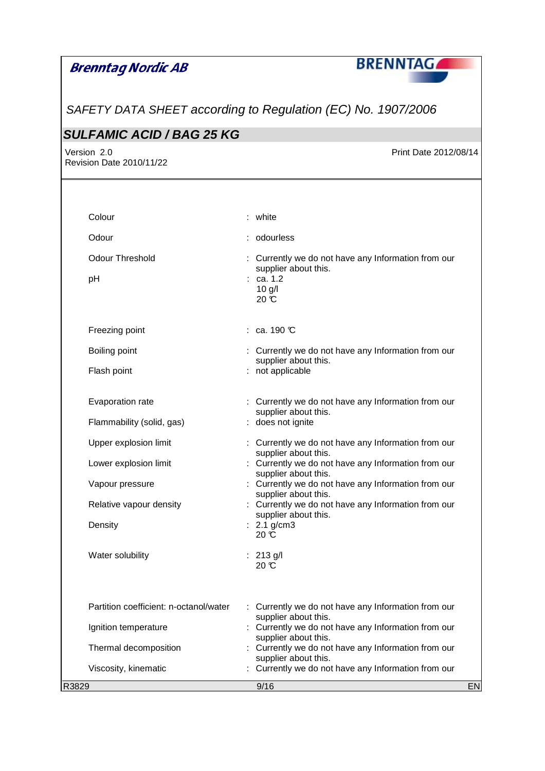

SAFETY DATA SHEET according to Regulation (EC) No. 1907/2006

## **SULFAMIC ACID / BAG 25 KG**

Revision Date 2010/11/22

Version 2.0 **Print Date 2012/08/14** 

|       | Colour                                 | : white                                                                     |           |
|-------|----------------------------------------|-----------------------------------------------------------------------------|-----------|
|       | Odour                                  | : odourless                                                                 |           |
|       | <b>Odour Threshold</b>                 | : Currently we do not have any Information from our                         |           |
|       | pH                                     | supplier about this.<br>: ca. 1.2<br>$10$ g/l<br>$20 \text{ C}$             |           |
|       | Freezing point                         | $:$ ca. 190 $\mathbb C$                                                     |           |
|       | Boiling point                          | : Currently we do not have any Information from our<br>supplier about this. |           |
|       | Flash point                            | : not applicable                                                            |           |
|       | Evaporation rate                       | : Currently we do not have any Information from our<br>supplier about this. |           |
|       | Flammability (solid, gas)              | : does not ignite                                                           |           |
|       | Upper explosion limit                  | : Currently we do not have any Information from our<br>supplier about this. |           |
|       | Lower explosion limit                  | : Currently we do not have any Information from our<br>supplier about this. |           |
|       | Vapour pressure                        | : Currently we do not have any Information from our<br>supplier about this. |           |
|       | Relative vapour density                | : Currently we do not have any Information from our<br>supplier about this. |           |
|       | Density                                | : $2.1$ g/cm3<br>20 °C                                                      |           |
|       | Water solubility                       | : 213 g/l<br>$20 \text{ }^{\circ}\text{C}$                                  |           |
|       | Partition coefficient: n-octanol/water | Currently we do not have any Information from our                           |           |
|       | Ignition temperature                   | supplier about this.<br>Currently we do not have any Information from our   |           |
|       | Thermal decomposition                  | supplier about this.<br>Currently we do not have any Information from our   |           |
|       | Viscosity, kinematic                   | supplier about this.<br>Currently we do not have any Information from our   |           |
| R3829 |                                        | 9/16                                                                        | <b>EN</b> |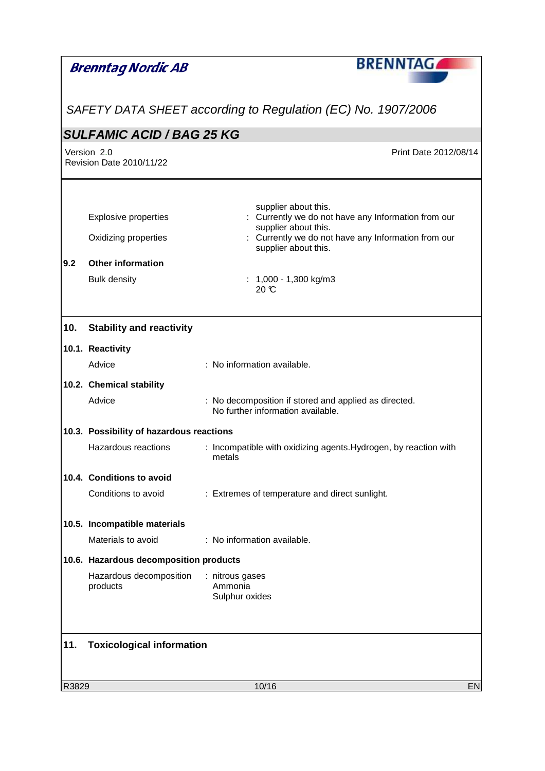|       | <b>Brenntag Nordic AB</b>                | <b>BRENNTAG</b>                                                                            |           |
|-------|------------------------------------------|--------------------------------------------------------------------------------------------|-----------|
|       |                                          |                                                                                            |           |
|       |                                          | SAFETY DATA SHEET according to Regulation (EC) No. 1907/2006                               |           |
|       | <b>SULFAMIC ACID / BAG 25 KG</b>         |                                                                                            |           |
|       | Version 2.0<br>Revision Date 2010/11/22  | Print Date 2012/08/14                                                                      |           |
|       |                                          | supplier about this.                                                                       |           |
|       | <b>Explosive properties</b>              | : Currently we do not have any Information from our<br>supplier about this.                |           |
|       | Oxidizing properties                     | : Currently we do not have any Information from our<br>supplier about this.                |           |
| 9.2   | <b>Other information</b>                 |                                                                                            |           |
|       | <b>Bulk density</b>                      | : $1,000 - 1,300$ kg/m3<br>$20 \text{ }^{\circ}\text{C}$                                   |           |
| 10.   | <b>Stability and reactivity</b>          |                                                                                            |           |
|       | 10.1. Reactivity                         |                                                                                            |           |
|       | Advice                                   | : No information available.                                                                |           |
|       | 10.2. Chemical stability                 |                                                                                            |           |
|       | Advice                                   | : No decomposition if stored and applied as directed.<br>No further information available. |           |
|       | 10.3. Possibility of hazardous reactions |                                                                                            |           |
|       | Hazardous reactions                      | : Incompatible with oxidizing agents. Hydrogen, by reaction with<br>metals                 |           |
|       | 10.4. Conditions to avoid                |                                                                                            |           |
|       | Conditions to avoid                      | : Extremes of temperature and direct sunlight.                                             |           |
|       | 10.5. Incompatible materials             |                                                                                            |           |
|       | Materials to avoid                       | : No information available.                                                                |           |
|       | 10.6. Hazardous decomposition products   |                                                                                            |           |
|       | Hazardous decomposition<br>products      | : nitrous gases<br>Ammonia<br>Sulphur oxides                                               |           |
| 11.   | <b>Toxicological information</b>         |                                                                                            |           |
|       |                                          |                                                                                            |           |
| R3829 |                                          | 10/16                                                                                      | <b>EN</b> |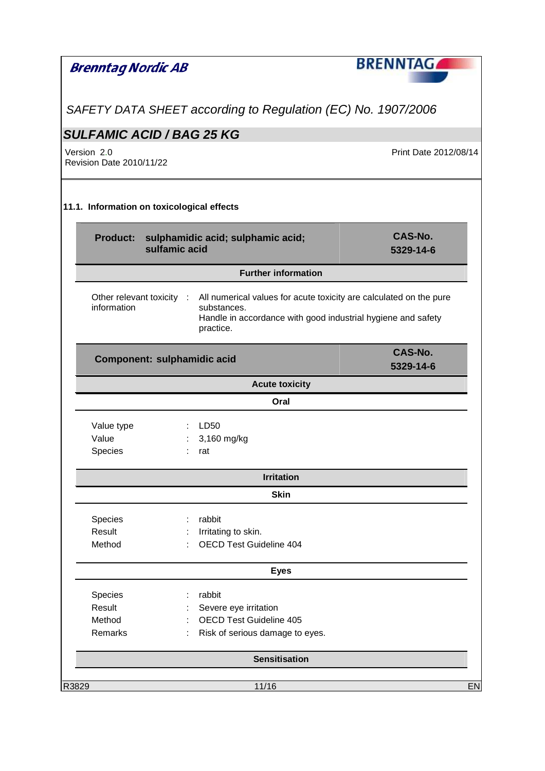| Brenntag Nordic AB                             |                             |                                                                                                                                                                                          | <b>BRENNTAGAL</b>     |
|------------------------------------------------|-----------------------------|------------------------------------------------------------------------------------------------------------------------------------------------------------------------------------------|-----------------------|
|                                                |                             |                                                                                                                                                                                          |                       |
|                                                |                             | SAFETY DATA SHEET according to Regulation (EC) No. 1907/2006                                                                                                                             |                       |
| <b>SULFAMIC ACID / BAG 25 KG</b>               |                             |                                                                                                                                                                                          |                       |
| Version 2.0<br><b>Revision Date 2010/11/22</b> |                             |                                                                                                                                                                                          | Print Date 2012/08/14 |
| 11.1. Information on toxicological effects     |                             |                                                                                                                                                                                          |                       |
|                                                | sulfamic acid               | Product: sulphamidic acid; sulphamic acid;                                                                                                                                               | CAS-No.<br>5329-14-6  |
|                                                |                             | <b>Further information</b>                                                                                                                                                               |                       |
| information                                    |                             | Other relevant toxicity : All numerical values for acute toxicity are calculated on the pure<br>substances.<br>Handle in accordance with good industrial hygiene and safety<br>practice. |                       |
|                                                | Component: sulphamidic acid |                                                                                                                                                                                          | CAS-No.<br>5329-14-6  |
| <b>Acute toxicity</b>                          |                             |                                                                                                                                                                                          |                       |
|                                                |                             | Oral                                                                                                                                                                                     |                       |
| Value type<br>Value<br>Species                 |                             | $\therefore$ LD50<br>3,160 mg/kg<br>rat                                                                                                                                                  |                       |
|                                                |                             | <b>Irritation</b>                                                                                                                                                                        |                       |
|                                                |                             | <b>Skin</b>                                                                                                                                                                              |                       |
| Species<br>Result<br>Method                    |                             | rabbit<br>Irritating to skin.<br><b>OECD Test Guideline 404</b>                                                                                                                          |                       |
|                                                |                             | <b>Eyes</b>                                                                                                                                                                              |                       |
| Species<br>Result<br>Method<br>Remarks         |                             | rabbit<br>Severe eye irritation<br><b>OECD Test Guideline 405</b><br>Risk of serious damage to eyes.                                                                                     |                       |
|                                                |                             | <b>Sensitisation</b>                                                                                                                                                                     |                       |
| R3829                                          |                             | 11/16                                                                                                                                                                                    | EN                    |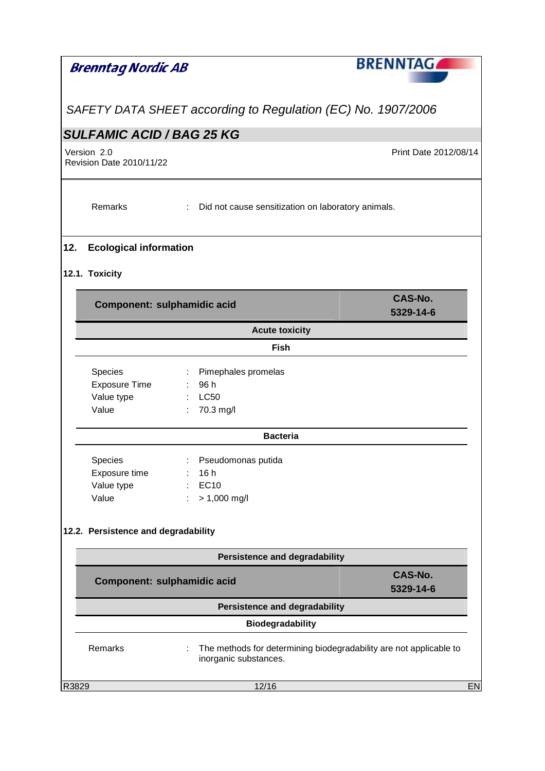| Brenntag Nordic AB                                                                                                                                                   | <b>BRENNTAG</b>                                                    |  |  |
|----------------------------------------------------------------------------------------------------------------------------------------------------------------------|--------------------------------------------------------------------|--|--|
|                                                                                                                                                                      |                                                                    |  |  |
| SAFETY DATA SHEET according to Regulation (EC) No. 1907/2006                                                                                                         |                                                                    |  |  |
| <b>SULFAMIC ACID / BAG 25 KG</b>                                                                                                                                     |                                                                    |  |  |
| Version 2.0<br><b>Revision Date 2010/11/22</b>                                                                                                                       | Print Date 2012/08/14                                              |  |  |
| Remarks                                                                                                                                                              | : Did not cause sensitization on laboratory animals.               |  |  |
| 12.<br><b>Ecological information</b>                                                                                                                                 |                                                                    |  |  |
| 12.1. Toxicity                                                                                                                                                       |                                                                    |  |  |
| Component: sulphamidic acid                                                                                                                                          | <b>CAS-No.</b><br>5329-14-6                                        |  |  |
|                                                                                                                                                                      | <b>Acute toxicity</b>                                              |  |  |
|                                                                                                                                                                      | Fish                                                               |  |  |
| Species<br>Pimephales promelas<br>$\mathbb{Z}^+$<br><b>Exposure Time</b><br>96 h<br>$\mathcal{L}^{\mathcal{L}}$ .<br>Value type<br><b>LC50</b><br>Value<br>70.3 mg/l |                                                                    |  |  |
|                                                                                                                                                                      | <b>Bacteria</b>                                                    |  |  |
| Species<br>: Pseudomonas putida<br>Exposure time<br>16 h<br><b>EC10</b><br>Value type<br>Value<br>$> 1,000$ mg/l                                                     |                                                                    |  |  |
| 12.2. Persistence and degradability                                                                                                                                  |                                                                    |  |  |
|                                                                                                                                                                      | <b>Persistence and degradability</b>                               |  |  |
| <b>CAS-No.</b><br>Component: sulphamidic acid<br>5329-14-6                                                                                                           |                                                                    |  |  |
| <b>Persistence and degradability</b>                                                                                                                                 |                                                                    |  |  |
| <b>Biodegradability</b>                                                                                                                                              |                                                                    |  |  |
| Remarks<br>inorganic substances.                                                                                                                                     | The methods for determining biodegradability are not applicable to |  |  |
| R3829<br>12/16                                                                                                                                                       | <b>EN</b>                                                          |  |  |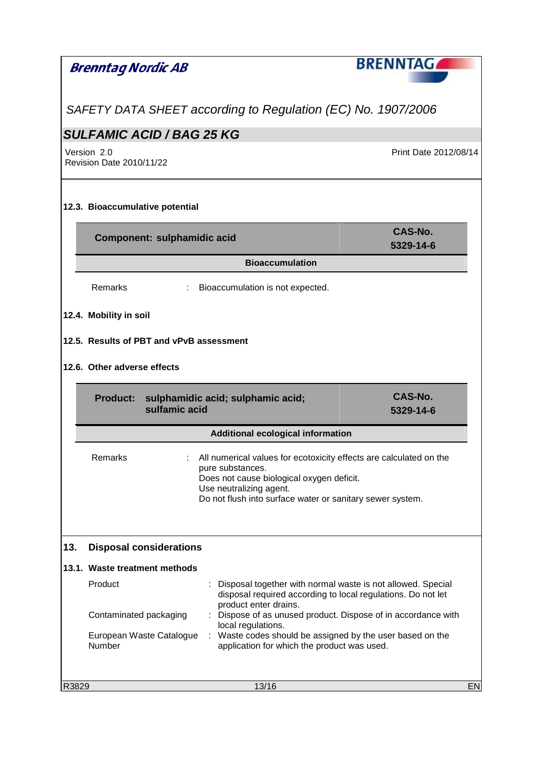| SAFETY DATA SHEET according to Regulation (EC) No. 1907/2006<br><b>SULFAMIC ACID / BAG 25 KG</b><br>Version 2.0<br>Print Date 2012/08/14<br>Revision Date 2010/11/22<br>12.3. Bioaccumulative potential<br>CAS-No.<br>Component: sulphamidic acid<br>5329-14-6<br><b>Bioaccumulation</b><br>Remarks<br>Bioaccumulation is not expected.<br>$\mathbb{Z}^{\times}$<br>12.4. Mobility in soil<br>12.5. Results of PBT and vPvB assessment<br>12.6. Other adverse effects<br>CAS-No.<br>Product: sulphamidic acid; sulphamic acid;<br>sulfamic acid<br>5329-14-6<br><b>Additional ecological information</b><br>: All numerical values for ecotoxicity effects are calculated on the<br>Remarks<br>pure substances.<br>Does not cause biological oxygen deficit.<br>Use neutralizing agent.<br>Do not flush into surface water or sanitary sewer system.<br>13.<br><b>Disposal considerations</b> |  |  |  |  |
|-----------------------------------------------------------------------------------------------------------------------------------------------------------------------------------------------------------------------------------------------------------------------------------------------------------------------------------------------------------------------------------------------------------------------------------------------------------------------------------------------------------------------------------------------------------------------------------------------------------------------------------------------------------------------------------------------------------------------------------------------------------------------------------------------------------------------------------------------------------------------------------------------|--|--|--|--|
|                                                                                                                                                                                                                                                                                                                                                                                                                                                                                                                                                                                                                                                                                                                                                                                                                                                                                               |  |  |  |  |
|                                                                                                                                                                                                                                                                                                                                                                                                                                                                                                                                                                                                                                                                                                                                                                                                                                                                                               |  |  |  |  |
|                                                                                                                                                                                                                                                                                                                                                                                                                                                                                                                                                                                                                                                                                                                                                                                                                                                                                               |  |  |  |  |
|                                                                                                                                                                                                                                                                                                                                                                                                                                                                                                                                                                                                                                                                                                                                                                                                                                                                                               |  |  |  |  |
|                                                                                                                                                                                                                                                                                                                                                                                                                                                                                                                                                                                                                                                                                                                                                                                                                                                                                               |  |  |  |  |
|                                                                                                                                                                                                                                                                                                                                                                                                                                                                                                                                                                                                                                                                                                                                                                                                                                                                                               |  |  |  |  |
|                                                                                                                                                                                                                                                                                                                                                                                                                                                                                                                                                                                                                                                                                                                                                                                                                                                                                               |  |  |  |  |
|                                                                                                                                                                                                                                                                                                                                                                                                                                                                                                                                                                                                                                                                                                                                                                                                                                                                                               |  |  |  |  |
|                                                                                                                                                                                                                                                                                                                                                                                                                                                                                                                                                                                                                                                                                                                                                                                                                                                                                               |  |  |  |  |
|                                                                                                                                                                                                                                                                                                                                                                                                                                                                                                                                                                                                                                                                                                                                                                                                                                                                                               |  |  |  |  |
|                                                                                                                                                                                                                                                                                                                                                                                                                                                                                                                                                                                                                                                                                                                                                                                                                                                                                               |  |  |  |  |
|                                                                                                                                                                                                                                                                                                                                                                                                                                                                                                                                                                                                                                                                                                                                                                                                                                                                                               |  |  |  |  |
|                                                                                                                                                                                                                                                                                                                                                                                                                                                                                                                                                                                                                                                                                                                                                                                                                                                                                               |  |  |  |  |
|                                                                                                                                                                                                                                                                                                                                                                                                                                                                                                                                                                                                                                                                                                                                                                                                                                                                                               |  |  |  |  |
|                                                                                                                                                                                                                                                                                                                                                                                                                                                                                                                                                                                                                                                                                                                                                                                                                                                                                               |  |  |  |  |
|                                                                                                                                                                                                                                                                                                                                                                                                                                                                                                                                                                                                                                                                                                                                                                                                                                                                                               |  |  |  |  |
| 13.1. Waste treatment methods                                                                                                                                                                                                                                                                                                                                                                                                                                                                                                                                                                                                                                                                                                                                                                                                                                                                 |  |  |  |  |
| Product<br>Disposal together with normal waste is not allowed. Special<br>disposal required according to local regulations. Do not let<br>product enter drains.<br>: Dispose of as unused product. Dispose of in accordance with<br>Contaminated packaging<br>local regulations.<br>European Waste Catalogue<br>: Waste codes should be assigned by the user based on the<br>Number<br>application for which the product was used.                                                                                                                                                                                                                                                                                                                                                                                                                                                            |  |  |  |  |
| R3829<br>13/16                                                                                                                                                                                                                                                                                                                                                                                                                                                                                                                                                                                                                                                                                                                                                                                                                                                                                |  |  |  |  |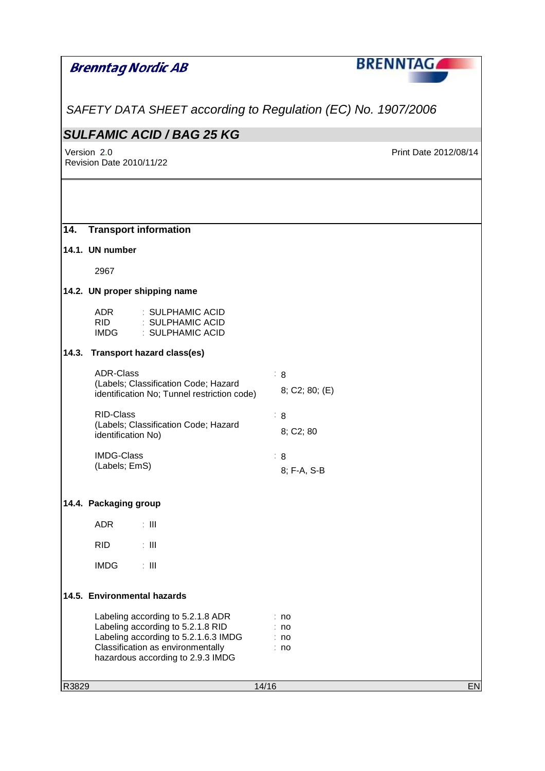| Brenntag Nordic AB                                                                                                                                                                       | <b>BRENNTAGA</b>                 |
|------------------------------------------------------------------------------------------------------------------------------------------------------------------------------------------|----------------------------------|
| SAFETY DATA SHEET according to Regulation (EC) No. 1907/2006                                                                                                                             |                                  |
| <b>SULFAMIC ACID / BAG 25 KG</b>                                                                                                                                                         |                                  |
| Version 2.0<br><b>Revision Date 2010/11/22</b>                                                                                                                                           | Print Date 2012/08/14            |
|                                                                                                                                                                                          |                                  |
| 14.<br><b>Transport information</b>                                                                                                                                                      |                                  |
| 14.1. UN number                                                                                                                                                                          |                                  |
| 2967                                                                                                                                                                                     |                                  |
| 14.2. UN proper shipping name                                                                                                                                                            |                                  |
| <b>ADR</b><br>: SULPHAMIC ACID<br><b>RID</b><br>: SULPHAMIC ACID<br><b>IMDG</b><br>: SULPHAMIC ACID                                                                                      |                                  |
| <b>Transport hazard class(es)</b><br>14.3.                                                                                                                                               |                                  |
| <b>ADR-Class</b><br>(Labels; Classification Code; Hazard<br>identification No; Tunnel restriction code)                                                                                  | $\therefore$ 8<br>8; C2; 80; (E) |
| <b>RID-Class</b><br>(Labels; Classification Code; Hazard<br>identification No)                                                                                                           | $\therefore$ 8<br>8; C2; 80      |
| <b>IMDG-Class</b><br>(Labels; EmS)                                                                                                                                                       | $\therefore$ 8<br>8; F-A, S-B    |
| 14.4. Packaging group                                                                                                                                                                    |                                  |
| <b>ADR</b><br>$\pm$ 111                                                                                                                                                                  |                                  |
| <b>RID</b><br>$\pm$ 111                                                                                                                                                                  |                                  |
| $\pm$ 111<br><b>IMDG</b>                                                                                                                                                                 |                                  |
| 14.5. Environmental hazards                                                                                                                                                              |                                  |
| Labeling according to 5.2.1.8 ADR<br>Labeling according to 5.2.1.8 RID<br>Labeling according to 5.2.1.6.3 IMDG<br>Classification as environmentally<br>hazardous according to 2.9.3 IMDG | : no<br>no<br>: no<br>: no       |
| R3829                                                                                                                                                                                    | 14/16<br>EN                      |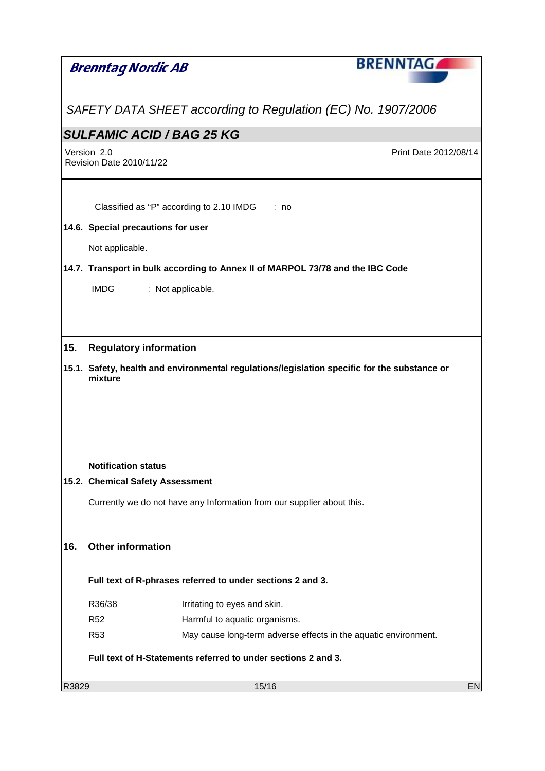|       |                                         |                                                                        | <b>BRENNTAGAL</b>                                                                            |
|-------|-----------------------------------------|------------------------------------------------------------------------|----------------------------------------------------------------------------------------------|
|       | <b>Brenntag Nordic AB</b>               |                                                                        |                                                                                              |
|       |                                         |                                                                        |                                                                                              |
|       |                                         |                                                                        | SAFETY DATA SHEET according to Regulation (EC) No. 1907/2006                                 |
|       |                                         | <b>SULFAMIC ACID / BAG 25 KG</b>                                       |                                                                                              |
|       | Version 2.0<br>Revision Date 2010/11/22 |                                                                        | Print Date 2012/08/14                                                                        |
|       |                                         |                                                                        |                                                                                              |
|       |                                         | Classified as "P" according to 2.10 IMDG                               | : no                                                                                         |
|       |                                         | 14.6. Special precautions for user                                     |                                                                                              |
|       |                                         |                                                                        |                                                                                              |
|       | Not applicable.                         |                                                                        |                                                                                              |
|       |                                         |                                                                        | 14.7. Transport in bulk according to Annex II of MARPOL 73/78 and the IBC Code               |
|       | <b>IMDG</b>                             | : Not applicable.                                                      |                                                                                              |
|       |                                         |                                                                        |                                                                                              |
|       |                                         |                                                                        |                                                                                              |
| 15.   |                                         | <b>Regulatory information</b>                                          |                                                                                              |
|       | mixture                                 |                                                                        | 15.1. Safety, health and environmental regulations/legislation specific for the substance or |
|       |                                         |                                                                        |                                                                                              |
|       |                                         |                                                                        |                                                                                              |
|       |                                         |                                                                        |                                                                                              |
|       |                                         |                                                                        |                                                                                              |
|       | <b>Notification status</b>              |                                                                        |                                                                                              |
|       |                                         | 15.2. Chemical Safety Assessment                                       |                                                                                              |
|       |                                         | Currently we do not have any Information from our supplier about this. |                                                                                              |
|       |                                         |                                                                        |                                                                                              |
| 16.   | <b>Other information</b>                |                                                                        |                                                                                              |
|       |                                         |                                                                        |                                                                                              |
|       |                                         | Full text of R-phrases referred to under sections 2 and 3.             |                                                                                              |
|       | R36/38                                  | Irritating to eyes and skin.                                           |                                                                                              |
|       | <b>R52</b>                              | Harmful to aquatic organisms.                                          |                                                                                              |
|       | <b>R53</b>                              |                                                                        | May cause long-term adverse effects in the aquatic environment.                              |
|       |                                         | Full text of H-Statements referred to under sections 2 and 3.          |                                                                                              |
| R3829 |                                         |                                                                        | 15/16<br><b>EN</b>                                                                           |